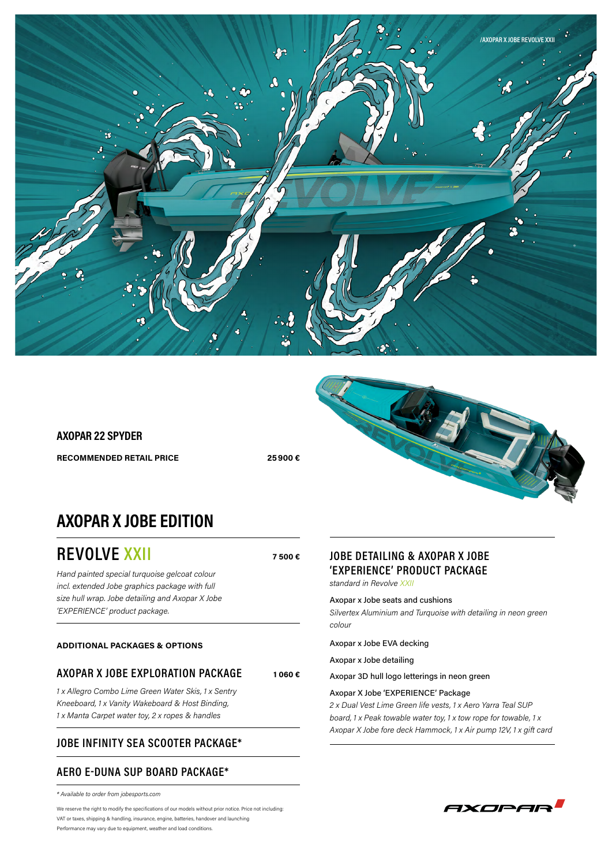

# **AXOPAR 22 SPYDER RECOMMENDED RETAIL PRICE 25900 €**

**7 500 €**

**1 060 €**



# **AXOPAR X JOBE EDITION**

**REVOLVE XXII**

*Hand painted special turquoise gelcoat colour incl. extended Jobe graphics package with full size hull wrap. Jobe detailing and Axopar X Jobe 'EXPERIENCE' product package.*

#### **ADDITIONAL PACKAGES & OPTIONS**

### **AXOPAR X JOBE EXPLORATION PACKAGE**

*1 x Allegro Combo Lime Green Water Skis, 1 x Sentry Kneeboard, 1 x Vanity Wakeboard & Host Binding, 1 x Manta Carpet water toy, 2 x ropes & handles*

### **JOBE INFINITY SEA SCOOTER PACKAGE\***

### **AERO E-DUNA SUP BOARD PACKAGE\***

*\* Available to order from jobesports.com*

We reserve the right to modify the specifications of our models without prior notice. Price not including: VAT or taxes, shipping & handling, insurance, engine, batteries, handover and launching Performance may vary due to equipment, weather and load conditions.

## **JOBE DETAILING & AXOPAR X JOBE 'EXPERIENCE' PRODUCT PACKAGE**

*standard in Revolve XXII*

Axopar x Jobe seats and cushions *Silvertex Aluminium and Turquoise with detailing in neon green colour*

Axopar x Jobe EVA decking

Axopar x Jobe detailing

Axopar 3D hull logo letterings in neon green

#### Axopar X Jobe 'EXPERIENCE' Package

*2 x Dual Vest Lime Green life vests, 1 x Aero Yarra Teal SUP board, 1 x Peak towable water toy, 1 x tow rope for towable, 1 x Axopar X Jobe fore deck Hammock, 1 x Air pump 12V, 1 x gift card*

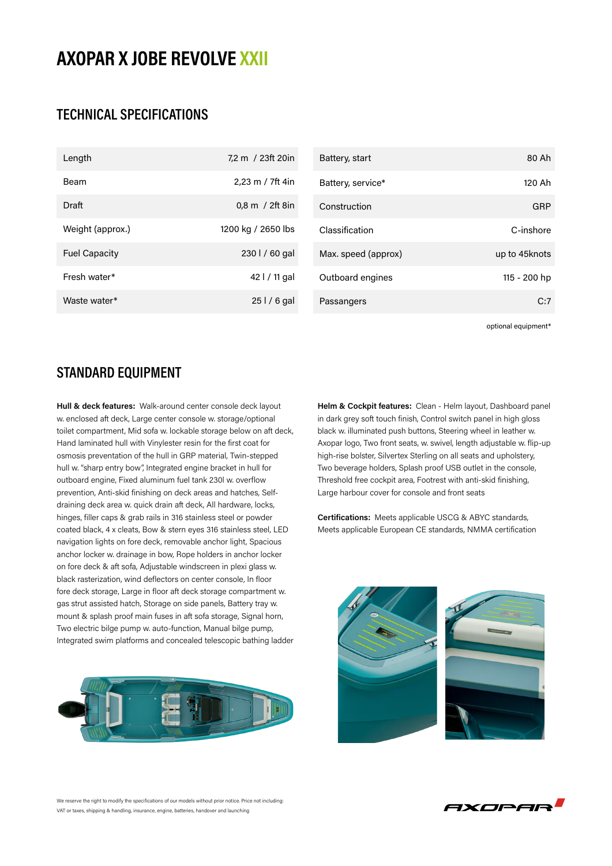# **AXOPAR X JOBE REVOLVE XXII**

# **TECHNICAL SPECIFICATIONS**

| Length               | 7.2 m / 23ft 20in           | Battery, start      | 80 Ah         |
|----------------------|-----------------------------|---------------------|---------------|
| Beam                 | 2.23 m / 7ft 4in            | Battery, service*   | 120 Ah        |
| Draft                | $0,8 \, \text{m}$ / 2ft 8in | Construction        | <b>GRP</b>    |
| Weight (approx.)     | 1200 kg / 2650 lbs          | Classification      | C-inshore     |
| <b>Fuel Capacity</b> | 230 l / 60 gal              | Max. speed (approx) | up to 45knots |
| Fresh water*         | 42   / 11 gal               | Outboard engines    | 115 - 200 hp  |
| Waste water*         | $251/6$ gal                 | Passangers          | C:7           |

optional equipment\*

# **STANDARD EQUIPMENT**

**Hull & deck features:** Walk-around center console deck layout w. enclosed aft deck, Large center console w. storage/optional toilet compartment, Mid sofa w. lockable storage below on aft deck, Hand laminated hull with Vinylester resin for the first coat for osmosis preventation of the hull in GRP material, Twin-stepped hull w. "sharp entry bow", Integrated engine bracket in hull for outboard engine, Fixed aluminum fuel tank 230l w. overflow prevention, Anti-skid finishing on deck areas and hatches, Selfdraining deck area w. quick drain aft deck, All hardware, locks, hinges, filler caps & grab rails in 316 stainless steel or powder coated black, 4 x cleats, Bow & stern eyes 316 stainless steel, LED navigation lights on fore deck, removable anchor light, Spacious anchor locker w. drainage in bow, Rope holders in anchor locker on fore deck & aft sofa, Adjustable windscreen in plexi glass w. black rasterization, wind deflectors on center console, In floor fore deck storage, Large in floor aft deck storage compartment w. gas strut assisted hatch, Storage on side panels, Battery tray w. mount & splash proof main fuses in aft sofa storage, Signal horn, Two electric bilge pump w. auto-function, Manual bilge pump, Integrated swim platforms and concealed telescopic bathing ladder



**Helm & Cockpit features:** Clean - Helm layout, Dashboard panel in dark grey soft touch finish, Control switch panel in high gloss black w. illuminated push buttons, Steering wheel in leather w. Axopar logo, Two front seats, w. swivel, length adjustable w. flip-up high-rise bolster, Silvertex Sterling on all seats and upholstery, Two beverage holders, Splash proof USB outlet in the console, Threshold free cockpit area, Footrest with anti-skid finishing, Large harbour cover for console and front seats

**Certifications:** Meets applicable USCG & ABYC standards, Meets applicable European CE standards, NMMA certification



AXOPAR

We reserve the right to modify the specifications of our models without prior notice. Price not including: VAT or taxes, shipping & handling, insurance, engine, batteries, handover and launching